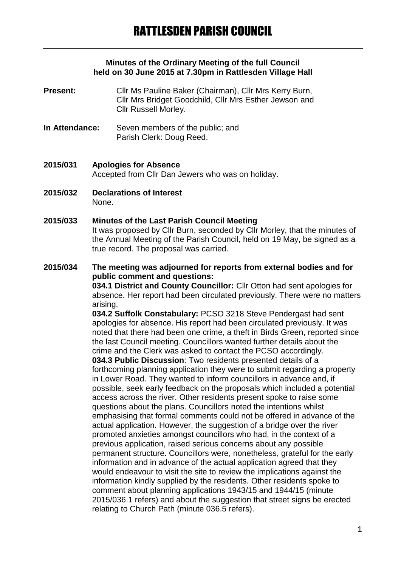#### **Minutes of the Ordinary Meeting of the full Council held on 30 June 2015 at 7.30pm in Rattlesden Village Hall**

- **Present:** Cllr Ms Pauline Baker (Chairman), Cllr Mrs Kerry Burn, Cllr Mrs Bridget Goodchild, Cllr Mrs Esther Jewson and Cllr Russell Morley.
- **In Attendance:** Seven members of the public; and Parish Clerk: Doug Reed.
- **2015/031 Apologies for Absence** Accepted from Cllr Dan Jewers who was on holiday.
- **2015/032 Declarations of Interest** None.
- **2015/033 Minutes of the Last Parish Council Meeting** It was proposed by Cllr Burn, seconded by Cllr Morley, that the minutes of the Annual Meeting of the Parish Council, held on 19 May, be signed as a true record. The proposal was carried.
- **2015/034 The meeting was adjourned for reports from external bodies and for public comment and questions:**

**034.1 District and County Councillor:** Cllr Otton had sent apologies for absence. Her report had been circulated previously. There were no matters arising.

**034.2 Suffolk Constabulary:** PCSO 3218 Steve Pendergast had sent apologies for absence. His report had been circulated previously. It was noted that there had been one crime, a theft in Birds Green, reported since the last Council meeting. Councillors wanted further details about the crime and the Clerk was asked to contact the PCSO accordingly. **034.3 Public Discussion**: Two residents presented details of a forthcoming planning application they were to submit regarding a property in Lower Road. They wanted to inform councillors in advance and, if possible, seek early feedback on the proposals which included a potential access across the river. Other residents present spoke to raise some questions about the plans. Councillors noted the intentions whilst emphasising that formal comments could not be offered in advance of the actual application. However, the suggestion of a bridge over the river promoted anxieties amongst councillors who had, in the context of a previous application, raised serious concerns about any possible permanent structure. Councillors were, nonetheless, grateful for the early information and in advance of the actual application agreed that they would endeavour to visit the site to review the implications against the information kindly supplied by the residents. Other residents spoke to comment about planning applications 1943/15 and 1944/15 (minute 2015/036.1 refers) and about the suggestion that street signs be erected relating to Church Path (minute 036.5 refers).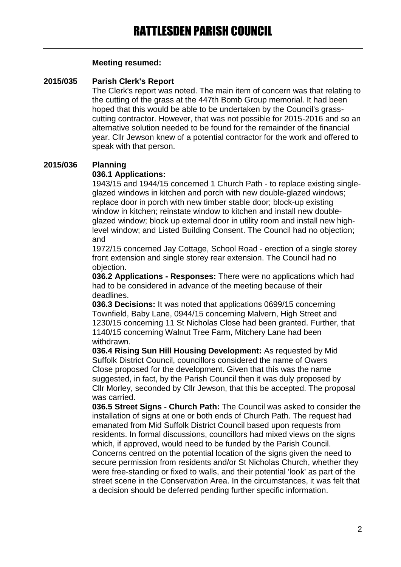#### **Meeting resumed:**

#### **2015/035 Parish Clerk's Report**

The Clerk's report was noted. The main item of concern was that relating to the cutting of the grass at the 447th Bomb Group memorial. It had been hoped that this would be able to be undertaken by the Council's grasscutting contractor. However, that was not possible for 2015-2016 and so an alternative solution needed to be found for the remainder of the financial year. Cllr Jewson knew of a potential contractor for the work and offered to speak with that person.

### **2015/036 Planning**

### **036.1 Applications:**

1943/15 and 1944/15 concerned 1 Church Path - to replace existing singleglazed windows in kitchen and porch with new double-glazed windows; replace door in porch with new timber stable door; block-up existing window in kitchen; reinstate window to kitchen and install new doubleglazed window; block up external door in utility room and install new highlevel window; and Listed Building Consent. The Council had no objection; and

1972/15 concerned Jay Cottage, School Road - erection of a single storey front extension and single storey rear extension. The Council had no objection.

**036.2 Applications - Responses:** There were no applications which had had to be considered in advance of the meeting because of their deadlines.

**036.3 Decisions:** It was noted that applications 0699/15 concerning Townfield, Baby Lane, 0944/15 concerning Malvern, High Street and 1230/15 concerning 11 St Nicholas Close had been granted. Further, that 1140/15 concerning Walnut Tree Farm, Mitchery Lane had been withdrawn.

**036.4 Rising Sun Hill Housing Development:** As requested by Mid Suffolk District Council, councillors considered the name of Owers Close proposed for the development. Given that this was the name suggested, in fact, by the Parish Council then it was duly proposed by Cllr Morley, seconded by Cllr Jewson, that this be accepted. The proposal was carried.

**036.5 Street Signs - Church Path:** The Council was asked to consider the installation of signs at one or both ends of Church Path. The request had emanated from Mid Suffolk District Council based upon requests from residents. In formal discussions, councillors had mixed views on the signs which, if approved, would need to be funded by the Parish Council. Concerns centred on the potential location of the signs given the need to secure permission from residents and/or St Nicholas Church, whether they were free-standing or fixed to walls, and their potential 'look' as part of the street scene in the Conservation Area. In the circumstances, it was felt that a decision should be deferred pending further specific information.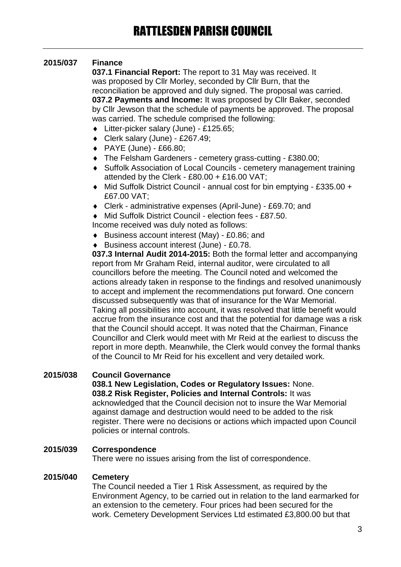# **2015/037 Finance**

**037.1 Financial Report:** The report to 31 May was received. It was proposed by Cllr Morley, seconded by Cllr Burn, that the reconciliation be approved and duly signed. The proposal was carried. **037.2 Payments and Income:** It was proposed by Cllr Baker, seconded by Cllr Jewson that the schedule of payments be approved. The proposal was carried. The schedule comprised the following:

- Litter-picker salary (June) £125.65;
- ◆ Clerk salary (June) £267.49:
- PAYE (June) £66.80;
- The Felsham Gardeners cemetery grass-cutting £380.00;
- Suffolk Association of Local Councils cemetery management training attended by the Clerk - £80.00 + £16.00 VAT;
- Mid Suffolk District Council annual cost for bin emptying £335.00 + £67.00 VAT;
- Clerk administrative expenses (April-June) £69.70; and
- Mid Suffolk District Council election fees £87.50.

Income received was duly noted as follows:

- ◆ Business account interest (May) £0.86; and
- Business account interest (June) £0.78.

**037.3 Internal Audit 2014-2015:** Both the formal letter and accompanying report from Mr Graham Reid, internal auditor, were circulated to all councillors before the meeting. The Council noted and welcomed the actions already taken in response to the findings and resolved unanimously to accept and implement the recommendations put forward. One concern discussed subsequently was that of insurance for the War Memorial. Taking all possibilities into account, it was resolved that little benefit would accrue from the insurance cost and that the potential for damage was a risk that the Council should accept. It was noted that the Chairman, Finance Councillor and Clerk would meet with Mr Reid at the earliest to discuss the report in more depth. Meanwhile, the Clerk would convey the formal thanks of the Council to Mr Reid for his excellent and very detailed work.

### **2015/038 Council Governance**

**038.1 New Legislation, Codes or Regulatory Issues:** None. **038.2 Risk Register, Policies and Internal Controls:** It was acknowledged that the Council decision not to insure the War Memorial against damage and destruction would need to be added to the risk register. There were no decisions or actions which impacted upon Council policies or internal controls.

### **2015/039 Correspondence**

There were no issues arising from the list of correspondence.

### **2015/040 Cemetery**

The Council needed a Tier 1 Risk Assessment, as required by the Environment Agency, to be carried out in relation to the land earmarked for an extension to the cemetery. Four prices had been secured for the work. Cemetery Development Services Ltd estimated £3,800.00 but that